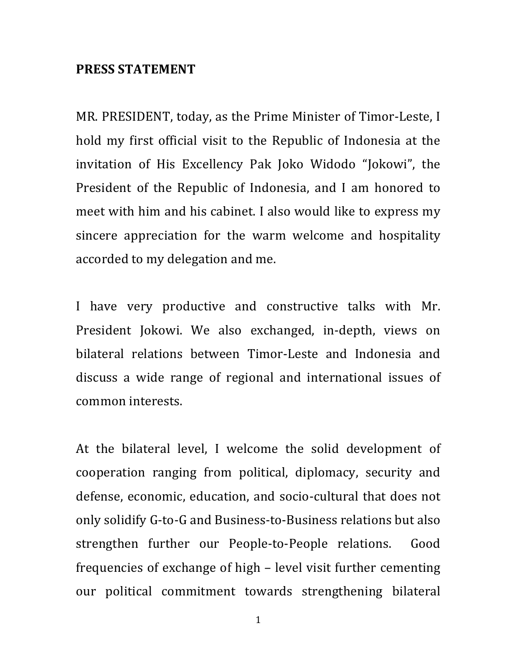## **PRESS STATEMENT**

MR. PRESIDENT, today, as the Prime Minister of Timor-Leste, I hold my first official visit to the Republic of Indonesia at the invitation of His Excellency Pak Joko Widodo "Jokowi", the President of the Republic of Indonesia, and I am honored to meet with him and his cabinet. I also would like to express my sincere appreciation for the warm welcome and hospitality accorded to my delegation and me.

I have very productive and constructive talks with Mr. President Jokowi. We also exchanged, in-depth, views on bilateral relations between Timor-Leste and Indonesia and discuss a wide range of regional and international issues of common interests.

At the bilateral level, I welcome the solid development of cooperation ranging from political, diplomacy, security and defense, economic, education, and socio-cultural that does not only solidify G-to-G and Business-to-Business relations but also strengthen further our People-to-People relations. Good frequencies of exchange of high – level visit further cementing our political commitment towards strengthening bilateral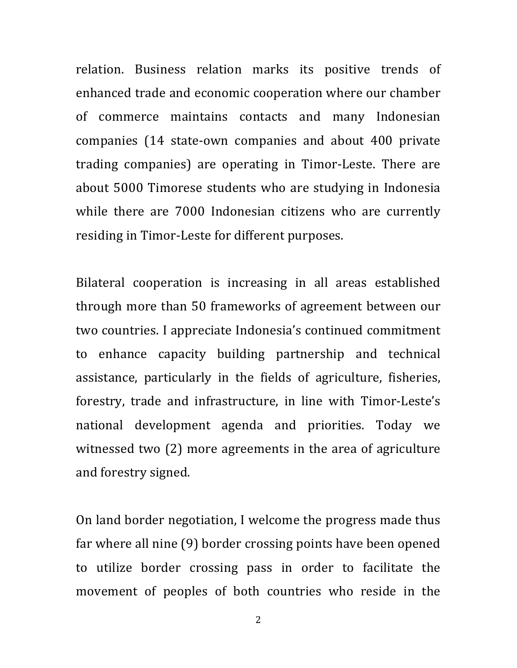relation. Business relation marks its positive trends of enhanced trade and economic cooperation where our chamber of commerce maintains contacts and many Indonesian companies (14 state-own companies and about 400 private trading companies) are operating in Timor-Leste. There are about 5000 Timorese students who are studying in Indonesia while there are 7000 Indonesian citizens who are currently residing in Timor-Leste for different purposes.

Bilateral cooperation is increasing in all areas established through more than 50 frameworks of agreement between our two countries. I appreciate Indonesia's continued commitment to enhance capacity building partnership and technical assistance, particularly in the fields of agriculture, fisheries, forestry, trade and infrastructure, in line with Timor-Leste's national development agenda and priorities. Today we witnessed two  $(2)$  more agreements in the area of agriculture and forestry signed.

On land border negotiation, I welcome the progress made thus far where all nine (9) border crossing points have been opened to utilize border crossing pass in order to facilitate the movement of peoples of both countries who reside in the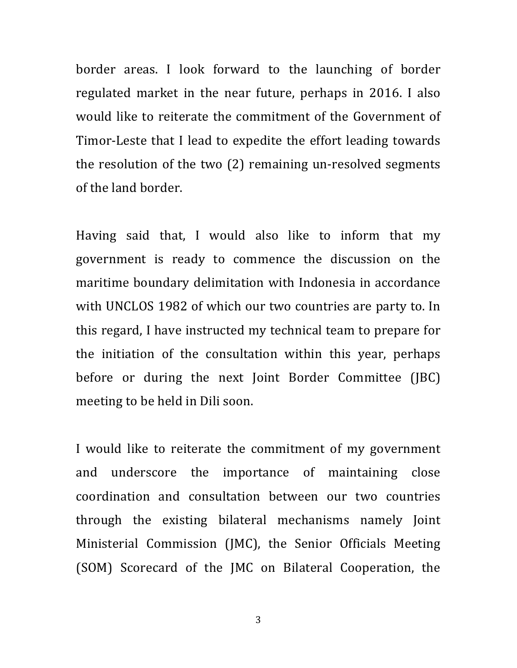border areas. I look forward to the launching of border regulated market in the near future, perhaps in 2016. I also would like to reiterate the commitment of the Government of Timor-Leste that I lead to expedite the effort leading towards the resolution of the two  $(2)$  remaining un-resolved segments of the land border.

Having said that, I would also like to inform that my government is ready to commence the discussion on the maritime boundary delimitation with Indonesia in accordance with UNCLOS 1982 of which our two countries are party to. In this regard, I have instructed my technical team to prepare for the initiation of the consultation within this year, perhaps before or during the next Joint Border Committee (JBC) meeting to be held in Dili soon.

I would like to reiterate the commitment of my government and underscore the importance of maintaining close coordination and consultation between our two countries through the existing bilateral mechanisms namely Joint Ministerial Commission (JMC), the Senior Officials Meeting (SOM) Scorecard of the JMC on Bilateral Cooperation, the

3